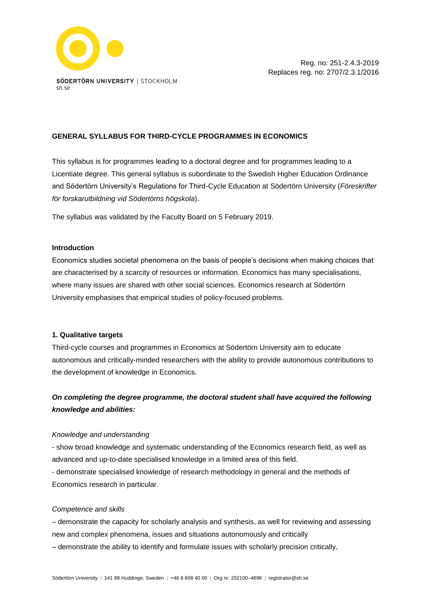

# **GENERAL SYLLABUS FOR THIRD-CYCLE PROGRAMMES IN ECONOMICS**

This syllabus is for programmes leading to a doctoral degree and for programmes leading to a Licentiate degree. This general syllabus is subordinate to the Swedish Higher Education Ordinance and Södertörn University's Regulations for Third-Cycle Education at Södertörn University (*Föreskrifter för forskarutbildning vid Södertörns högskola*).

The syllabus was validated by the Faculty Board on 5 February 2019.

## **Introduction**

Economics studies societal phenomena on the basis of people's decisions when making choices that are characterised by a scarcity of resources or information. Economics has many specialisations, where many issues are shared with other social sciences. Economics research at Södertörn University emphasises that empirical studies of policy-focused problems.

# **1. Qualitative targets**

Third-cycle courses and programmes in Economics at Södertörn University aim to educate autonomous and critically-minded researchers with the ability to provide autonomous contributions to the development of knowledge in Economics.

# *On completing the degree programme, the doctoral student shall have acquired the following knowledge and abilities:*

# *Knowledge and understanding*

- show broad knowledge and systematic understanding of the Economics research field, as well as advanced and up-to-date specialised knowledge in a limited area of this field.

- demonstrate specialised knowledge of research methodology in general and the methods of Economics research in particular.

# *Competence and skills*

– demonstrate the capacity for scholarly analysis and synthesis, as well for reviewing and assessing new and complex phenomena, issues and situations autonomously and critically

– demonstrate the ability to identify and formulate issues with scholarly precision critically,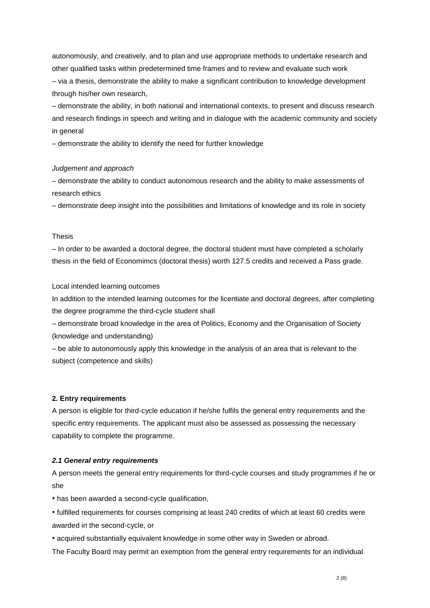autonomously, and creatively, and to plan and use appropriate methods to undertake research and other qualified tasks within predetermined time frames and to review and evaluate such work – via a thesis, demonstrate the ability to make a significant contribution to knowledge development through his/her own research,

– demonstrate the ability, in both national and international contexts, to present and discuss research and research findings in speech and writing and in dialogue with the academic community and society in general

– demonstrate the ability to identify the need for further knowledge

#### *Judgement and approach*

– demonstrate the ability to conduct autonomous research and the ability to make assessments of research ethics

– demonstrate deep insight into the possibilities and limitations of knowledge and its role in society

# Thesis

– In order to be awarded a doctoral degree, the doctoral student must have completed a scholarly thesis in the field of Economimcs (doctoral thesis) worth 127.5 credits and received a Pass grade.

Local intended learning outcomes

In addition to the intended learning outcomes for the licentiate and doctoral degrees, after completing the degree programme the third-cycle student shall

– demonstrate broad knowledge in the area of Politics, Economy and the Organisation of Society (knowledge and understanding)

– be able to autonomously apply this knowledge in the analysis of an area that is relevant to the subject (competence and skills)

#### **2. Entry requirements**

A person is eligible for third-cycle education if he/she fulfils the general entry requirements and the specific entry requirements. The applicant must also be assessed as possessing the necessary capability to complete the programme.

#### *2.1 General entry requirements*

A person meets the general entry requirements for third-cycle courses and study programmes if he or she

• has been awarded a second-cycle qualification,

• fulfilled requirements for courses comprising at least 240 credits of which at least 60 credits were awarded in the second-cycle, or

• acquired substantially equivalent knowledge in some other way in Sweden or abroad.

The Faculty Board may permit an exemption from the general entry requirements for an individual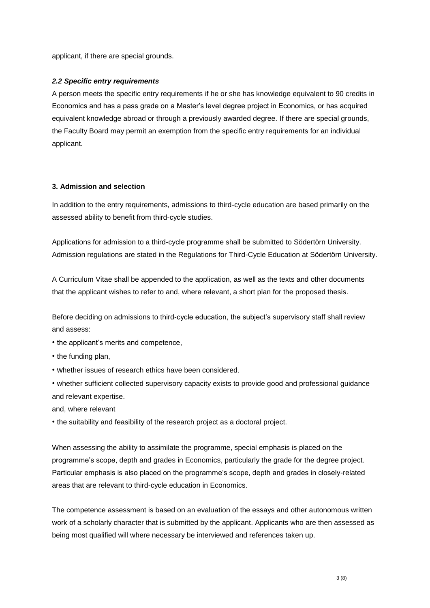applicant, if there are special grounds.

# *2.2 Specific entry requirements*

A person meets the specific entry requirements if he or she has knowledge equivalent to 90 credits in Economics and has a pass grade on a Master's level degree project in Economics, or has acquired equivalent knowledge abroad or through a previously awarded degree. If there are special grounds, the Faculty Board may permit an exemption from the specific entry requirements for an individual applicant.

## **3. Admission and selection**

In addition to the entry requirements, admissions to third-cycle education are based primarily on the assessed ability to benefit from third-cycle studies.

Applications for admission to a third-cycle programme shall be submitted to Södertörn University. Admission regulations are stated in the Regulations for Third-Cycle Education at Södertörn University.

A Curriculum Vitae shall be appended to the application, as well as the texts and other documents that the applicant wishes to refer to and, where relevant, a short plan for the proposed thesis.

Before deciding on admissions to third-cycle education, the subject's supervisory staff shall review and assess:

- the applicant's merits and competence,
- the funding plan,
- whether issues of research ethics have been considered.
- whether sufficient collected supervisory capacity exists to provide good and professional guidance and relevant expertise.

and, where relevant

• the suitability and feasibility of the research project as a doctoral project.

When assessing the ability to assimilate the programme, special emphasis is placed on the programme's scope, depth and grades in Economics, particularly the grade for the degree project. Particular emphasis is also placed on the programme's scope, depth and grades in closely-related areas that are relevant to third-cycle education in Economics.

The competence assessment is based on an evaluation of the essays and other autonomous written work of a scholarly character that is submitted by the applicant. Applicants who are then assessed as being most qualified will where necessary be interviewed and references taken up.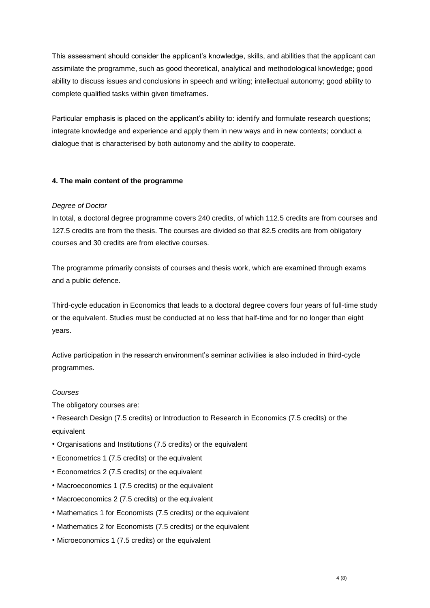This assessment should consider the applicant's knowledge, skills, and abilities that the applicant can assimilate the programme, such as good theoretical, analytical and methodological knowledge; good ability to discuss issues and conclusions in speech and writing; intellectual autonomy; good ability to complete qualified tasks within given timeframes.

Particular emphasis is placed on the applicant's ability to: identify and formulate research questions; integrate knowledge and experience and apply them in new ways and in new contexts; conduct a dialogue that is characterised by both autonomy and the ability to cooperate.

# **4. The main content of the programme**

# *Degree of Doctor*

In total, a doctoral degree programme covers 240 credits, of which 112.5 credits are from courses and 127.5 credits are from the thesis. The courses are divided so that 82.5 credits are from obligatory courses and 30 credits are from elective courses.

The programme primarily consists of courses and thesis work, which are examined through exams and a public defence.

Third-cycle education in Economics that leads to a doctoral degree covers four years of full-time study or the equivalent. Studies must be conducted at no less that half-time and for no longer than eight years.

Active participation in the research environment's seminar activities is also included in third-cycle programmes.

# *Courses*

The obligatory courses are:

• Research Design (7.5 credits) or Introduction to Research in Economics (7.5 credits) or the equivalent

- Organisations and Institutions (7.5 credits) or the equivalent
- Econometrics 1 (7.5 credits) or the equivalent
- Econometrics 2 (7.5 credits) or the equivalent
- Macroeconomics 1 (7.5 credits) or the equivalent
- Macroeconomics 2 (7.5 credits) or the equivalent
- Mathematics 1 for Economists (7.5 credits) or the equivalent
- Mathematics 2 for Economists (7.5 credits) or the equivalent
- Microeconomics 1 (7.5 credits) or the equivalent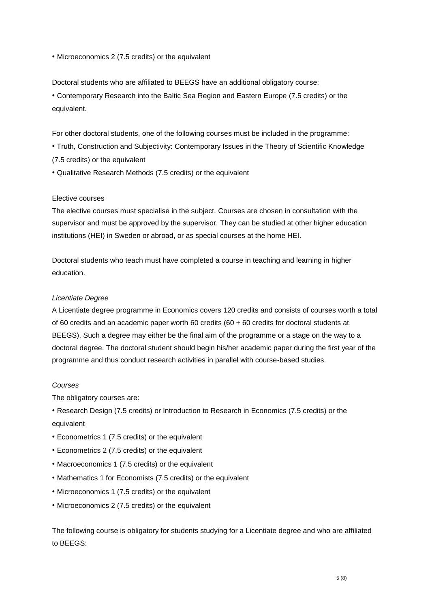• Microeconomics 2 (7.5 credits) or the equivalent

Doctoral students who are affiliated to BEEGS have an additional obligatory course:

• Contemporary Research into the Baltic Sea Region and Eastern Europe (7.5 credits) or the equivalent.

For other doctoral students, one of the following courses must be included in the programme:

- Truth, Construction and Subjectivity: Contemporary Issues in the Theory of Scientific Knowledge
- (7.5 credits) or the equivalent
- Qualitative Research Methods (7.5 credits) or the equivalent

## Elective courses

The elective courses must specialise in the subject. Courses are chosen in consultation with the supervisor and must be approved by the supervisor. They can be studied at other higher education institutions (HEI) in Sweden or abroad, or as special courses at the home HEI.

Doctoral students who teach must have completed a course in teaching and learning in higher education.

## *Licentiate Degree*

A Licentiate degree programme in Economics covers 120 credits and consists of courses worth a total of 60 credits and an academic paper worth 60 credits (60 + 60 credits for doctoral students at BEEGS). Such a degree may either be the final aim of the programme or a stage on the way to a doctoral degree. The doctoral student should begin his/her academic paper during the first year of the programme and thus conduct research activities in parallel with course-based studies.

#### *Courses*

The obligatory courses are:

• Research Design (7.5 credits) or Introduction to Research in Economics (7.5 credits) or the equivalent

- Econometrics 1 (7.5 credits) or the equivalent
- Econometrics 2 (7.5 credits) or the equivalent
- Macroeconomics 1 (7.5 credits) or the equivalent
- Mathematics 1 for Economists (7.5 credits) or the equivalent
- Microeconomics 1 (7.5 credits) or the equivalent
- Microeconomics 2 (7.5 credits) or the equivalent

The following course is obligatory for students studying for a Licentiate degree and who are affiliated to BEEGS: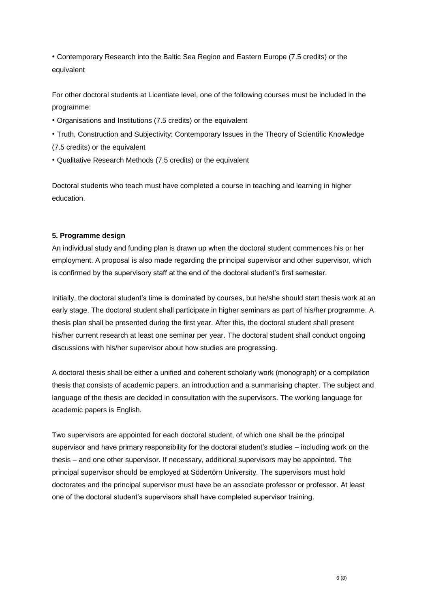• Contemporary Research into the Baltic Sea Region and Eastern Europe (7.5 credits) or the equivalent

For other doctoral students at Licentiate level, one of the following courses must be included in the programme:

- Organisations and Institutions (7.5 credits) or the equivalent
- Truth, Construction and Subjectivity: Contemporary Issues in the Theory of Scientific Knowledge (7.5 credits) or the equivalent
- Qualitative Research Methods (7.5 credits) or the equivalent

Doctoral students who teach must have completed a course in teaching and learning in higher education.

# **5. Programme design**

An individual study and funding plan is drawn up when the doctoral student commences his or her employment. A proposal is also made regarding the principal supervisor and other supervisor, which is confirmed by the supervisory staff at the end of the doctoral student's first semester.

Initially, the doctoral student's time is dominated by courses, but he/she should start thesis work at an early stage. The doctoral student shall participate in higher seminars as part of his/her programme. A thesis plan shall be presented during the first year. After this, the doctoral student shall present his/her current research at least one seminar per year. The doctoral student shall conduct ongoing discussions with his/her supervisor about how studies are progressing.

A doctoral thesis shall be either a unified and coherent scholarly work (monograph) or a compilation thesis that consists of academic papers, an introduction and a summarising chapter. The subject and language of the thesis are decided in consultation with the supervisors. The working language for academic papers is English.

Two supervisors are appointed for each doctoral student, of which one shall be the principal supervisor and have primary responsibility for the doctoral student's studies – including work on the thesis – and one other supervisor. If necessary, additional supervisors may be appointed. The principal supervisor should be employed at Södertörn University. The supervisors must hold doctorates and the principal supervisor must have be an associate professor or professor. At least one of the doctoral student's supervisors shall have completed supervisor training.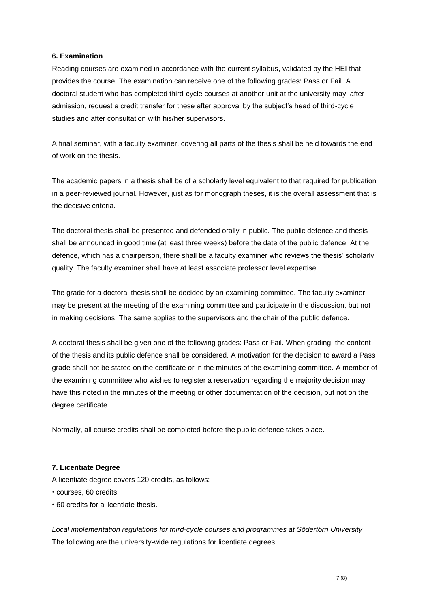# **6. Examination**

Reading courses are examined in accordance with the current syllabus, validated by the HEI that provides the course. The examination can receive one of the following grades: Pass or Fail. A doctoral student who has completed third-cycle courses at another unit at the university may, after admission, request a credit transfer for these after approval by the subject's head of third-cycle studies and after consultation with his/her supervisors.

A final seminar, with a faculty examiner, covering all parts of the thesis shall be held towards the end of work on the thesis.

The academic papers in a thesis shall be of a scholarly level equivalent to that required for publication in a peer-reviewed journal. However, just as for monograph theses, it is the overall assessment that is the decisive criteria.

The doctoral thesis shall be presented and defended orally in public. The public defence and thesis shall be announced in good time (at least three weeks) before the date of the public defence. At the defence, which has a chairperson, there shall be a faculty examiner who reviews the thesis' scholarly quality. The faculty examiner shall have at least associate professor level expertise.

The grade for a doctoral thesis shall be decided by an examining committee. The faculty examiner may be present at the meeting of the examining committee and participate in the discussion, but not in making decisions. The same applies to the supervisors and the chair of the public defence.

A doctoral thesis shall be given one of the following grades: Pass or Fail. When grading, the content of the thesis and its public defence shall be considered. A motivation for the decision to award a Pass grade shall not be stated on the certificate or in the minutes of the examining committee. A member of the examining committee who wishes to register a reservation regarding the majority decision may have this noted in the minutes of the meeting or other documentation of the decision, but not on the degree certificate.

Normally, all course credits shall be completed before the public defence takes place.

# **7. Licentiate Degree**

A licentiate degree covers 120 credits, as follows:

- courses, 60 credits
- 60 credits for a licentiate thesis.

*Local implementation regulations for third-cycle courses and programmes at Södertörn University* The following are the university-wide regulations for licentiate degrees.